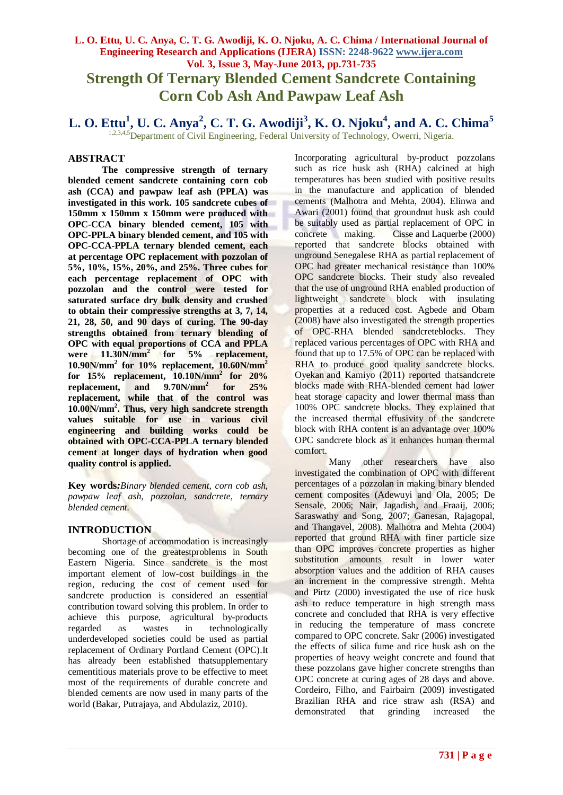# **L. O. Ettu, U. C. Anya, C. T. G. Awodiji, K. O. Njoku, A. C. Chima / International Journal of Engineering Research and Applications (IJERA) ISSN: 2248-9622 www.ijera.com Vol. 3, Issue 3, May-June 2013, pp.731-735 Strength Of Ternary Blended Cement Sandcrete Containing Corn Cob Ash And Pawpaw Leaf Ash**

**L. O. Ettu<sup>1</sup> , U. C. Anya<sup>2</sup> , C. T. G. Awodiji<sup>3</sup> , K. O. Njoku<sup>4</sup> , and A. C. Chima<sup>5</sup>**

1,2,3,4,5<sup>D</sup>epartment of Civil Engineering, Federal University of Technology, Owerri, Nigeria.

### **ABSTRACT**

**The compressive strength of ternary blended cement sandcrete containing corn cob ash (CCA) and pawpaw leaf ash (PPLA) was investigated in this work. 105 sandcrete cubes of 150mm x 150mm x 150mm were produced with OPC-CCA binary blended cement, 105 with OPC-PPLA binary blended cement, and 105 with OPC-CCA-PPLA ternary blended cement, each at percentage OPC replacement with pozzolan of 5%, 10%, 15%, 20%, and 25%. Three cubes for each percentage replacement of OPC with pozzolan and the control were tested for saturated surface dry bulk density and crushed to obtain their compressive strengths at 3, 7, 14, 21, 28, 50, and 90 days of curing. The 90-day strengths obtained from ternary blending of OPC with equal proportions of CCA and PPLA were 11.30N/mm<sup>2</sup> for 5% replacement, 10.90N/mm<sup>2</sup> for 10% replacement, 10.60N/mm<sup>2</sup> for 15% replacement, 10.10N/mm<sup>2</sup> for 20% replacement, and 9.70N/mm<sup>2</sup> for 25% replacement, while that of the control was 10.00N/mm<sup>2</sup> . Thus, very high sandcrete strength values suitable for use in various civil engineering and building works could be obtained with OPC-CCA-PPLA ternary blended cement at longer days of hydration when good quality control is applied.** 

**Key words***:Binary blended cement, corn cob ash, pawpaw leaf ash, pozzolan, sandcrete, ternary blended cement.* 

# **INTRODUCTION**

Shortage of accommodation is increasingly becoming one of the greatestproblems in South Eastern Nigeria. Since sandcrete is the most important element of low-cost buildings in the region, reducing the cost of cement used for sandcrete production is considered an essential contribution toward solving this problem. In order to achieve this purpose, agricultural by-products regarded as wastes in technologically underdeveloped societies could be used as partial replacement of Ordinary Portland Cement (OPC).It has already been established thatsupplementary cementitious materials prove to be effective to meet most of the requirements of durable concrete and blended cements are now used in many parts of the world (Bakar, Putrajaya, and Abdulaziz, 2010).

Incorporating agricultural by-product pozzolans such as rice husk ash (RHA) calcined at high temperatures has been studied with positive results in the manufacture and application of blended cements (Malhotra and Mehta, 2004). Elinwa and Awari (2001) found that groundnut husk ash could be suitably used as partial replacement of OPC in concrete making. Cisse and Laquerbe (2000) reported that sandcrete blocks obtained with unground Senegalese RHA as partial replacement of OPC had greater mechanical resistance than 100% OPC sandcrete blocks. Their study also revealed that the use of unground RHA enabled production of lightweight sandcrete block with insulating properties at a reduced cost. Agbede and Obam (2008) have also investigated the strength properties of OPC-RHA blended sandcreteblocks. They replaced various percentages of OPC with RHA and found that up to 17.5% of OPC can be replaced with RHA to produce good quality sandcrete blocks. Oyekan and Kamiyo (2011) reported thatsandcrete blocks made with RHA-blended cement had lower heat storage capacity and lower thermal mass than 100% OPC sandcrete blocks. They explained that the increased thermal effusivity of the sandcrete block with RHA content is an advantage over 100% OPC sandcrete block as it enhances human thermal comfort.

Many other researchers have also investigated the combination of OPC with different percentages of a pozzolan in making binary blended cement composites (Adewuyi and Ola, 2005; De Sensale, 2006; Nair, Jagadish, and Fraaij, 2006; Saraswathy and Song, 2007; Ganesan, Rajagopal, and Thangavel, 2008). Malhotra and Mehta (2004) reported that ground RHA with finer particle size than OPC improves concrete properties as higher substitution amounts result in lower water absorption values and the addition of RHA causes an increment in the compressive strength. Mehta and Pirtz (2000) investigated the use of rice husk ash to reduce temperature in high strength mass concrete and concluded that RHA is very effective in reducing the temperature of mass concrete compared to OPC concrete. Sakr (2006) investigated the effects of silica fume and rice husk ash on the properties of heavy weight concrete and found that these pozzolans gave higher concrete strengths than OPC concrete at curing ages of 28 days and above. Cordeiro, Filho, and Fairbairn (2009) investigated Brazilian RHA and rice straw ash (RSA) and demonstrated that grinding increased the demonstrated that grinding increased the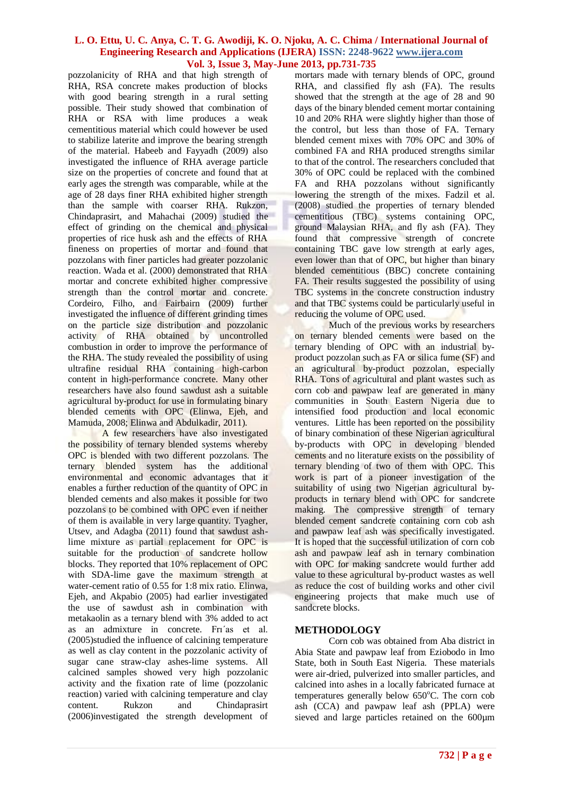pozzolanicity of RHA and that high strength of RHA, RSA concrete makes production of blocks with good bearing strength in a rural setting possible. Their study showed that combination of RHA or RSA with lime produces a weak cementitious material which could however be used to stabilize laterite and improve the bearing strength of the material. Habeeb and Fayyadh (2009) also investigated the influence of RHA average particle size on the properties of concrete and found that at early ages the strength was comparable, while at the age of 28 days finer RHA exhibited higher strength than the sample with coarser RHA. Rukzon, Chindaprasirt, and Mahachai (2009) studied the effect of grinding on the chemical and physical properties of rice husk ash and the effects of RHA fineness on properties of mortar and found that pozzolans with finer particles had greater pozzolanic reaction. Wada et al. (2000) demonstrated that RHA mortar and concrete exhibited higher compressive strength than the control mortar and concrete. Cordeiro, Filho, and Fairbairn (2009) further investigated the influence of different grinding times on the particle size distribution and pozzolanic activity of RHA obtained by uncontrolled combustion in order to improve the performance of the RHA. The study revealed the possibility of using ultrafine residual RHA containing high-carbon content in high-performance concrete. Many other researchers have also found sawdust ash a suitable agricultural by-product for use in formulating binary blended cements with OPC (Elinwa, Ejeh, and Mamuda, 2008; Elinwa and Abdulkadir, 2011).

A few researchers have also investigated the possibility of ternary blended systems whereby OPC is blended with two different pozzolans. The ternary blended system has the additional environmental and economic advantages that it enables a further reduction of the quantity of OPC in blended cements and also makes it possible for two pozzolans to be combined with OPC even if neither of them is available in very large quantity. Tyagher, Utsev, and Adagba (2011) found that sawdust ashlime mixture as partial replacement for OPC is suitable for the production of sandcrete hollow blocks. They reported that 10% replacement of OPC with SDA-lime gave the maximum strength at water-cement ratio of 0.55 for 1:8 mix ratio. Elinwa, Ejeh, and Akpabio (2005) had earlier investigated the use of sawdust ash in combination with metakaolin as a ternary blend with 3% added to act as an admixture in concrete. Frı´as et al. (2005)studied the influence of calcining temperature as well as clay content in the pozzolanic activity of sugar cane straw-clay ashes-lime systems. All calcined samples showed very high pozzolanic activity and the fixation rate of lime (pozzolanic reaction) varied with calcining temperature and clay content. Rukzon and Chindaprasirt (2006)investigated the strength development of

mortars made with ternary blends of OPC, ground RHA, and classified fly ash (FA). The results showed that the strength at the age of 28 and 90 days of the binary blended cement mortar containing 10 and 20% RHA were slightly higher than those of the control, but less than those of FA. Ternary blended cement mixes with 70% OPC and 30% of combined FA and RHA produced strengths similar to that of the control. The researchers concluded that 30% of OPC could be replaced with the combined FA and RHA pozzolans without significantly lowering the strength of the mixes. Fadzil et al. (2008) studied the properties of ternary blended cementitious (TBC) systems containing OPC, ground Malaysian RHA, and fly ash (FA). They found that compressive strength of concrete containing TBC gave low strength at early ages, even lower than that of OPC, but higher than binary blended cementitious (BBC) concrete containing FA. Their results suggested the possibility of using TBC systems in the concrete construction industry and that TBC systems could be particularly useful in reducing the volume of OPC used.

Much of the previous works by researchers on ternary blended cements were based on the ternary blending of OPC with an industrial byproduct pozzolan such as FA or silica fume (SF) and an agricultural by-product pozzolan, especially RHA. Tons of agricultural and plant wastes such as corn cob and pawpaw leaf are generated in many communities in South Eastern Nigeria due to intensified food production and local economic ventures. Little has been reported on the possibility of binary combination of these Nigerian agricultural by-products with OPC in developing blended cements and no literature exists on the possibility of ternary blending of two of them with OPC. This work is part of a pioneer investigation of the suitability of using two Nigerian agricultural byproducts in ternary blend with OPC for sandcrete making. The compressive strength of ternary blended cement sandcrete containing corn cob ash and pawpaw leaf ash was specifically investigated. It is hoped that the successful utilization of corn cob ash and pawpaw leaf ash in ternary combination with OPC for making sandcrete would further add value to these agricultural by-product wastes as well as reduce the cost of building works and other civil engineering projects that make much use of sandcrete blocks.

# **METHODOLOGY**

Corn cob was obtained from Aba district in Abia State and pawpaw leaf from Eziobodo in Imo State, both in South East Nigeria. These materials were air-dried, pulverized into smaller particles, and calcined into ashes in a locally fabricated furnace at temperatures generally below  $650^{\circ}$ C. The corn cob ash (CCA) and pawpaw leaf ash (PPLA) were sieved and large particles retained on the 600um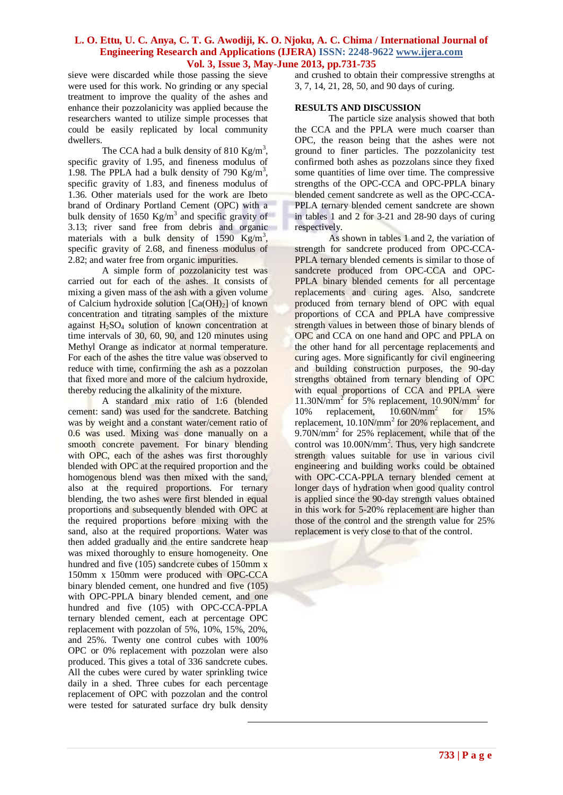sieve were discarded while those passing the sieve were used for this work. No grinding or any special treatment to improve the quality of the ashes and enhance their pozzolanicity was applied because the researchers wanted to utilize simple processes that could be easily replicated by local community dwellers.

The CCA had a bulk density of 810 Kg/m<sup>3</sup>, specific gravity of 1.95, and fineness modulus of 1.98. The PPLA had a bulk density of 790  $\text{Kg/m}^3$ , specific gravity of 1.83, and fineness modulus of 1.36. Other materials used for the work are Ibeto brand of Ordinary Portland Cement (OPC) with a bulk density of  $1650 \text{ Kg/m}^3$  and specific gravity of 3.13; river sand free from debris and organic materials with a bulk density of  $1590 \text{ Kg/m}^3$ , specific gravity of 2.68, and fineness modulus of 2.82; and water free from organic impurities.

A simple form of pozzolanicity test was carried out for each of the ashes. It consists of mixing a given mass of the ash with a given volume of Calcium hydroxide solution  $[Ca(OH)_2]$  of known concentration and titrating samples of the mixture against H2SO<sup>4</sup> solution of known concentration at time intervals of 30, 60, 90, and 120 minutes using Methyl Orange as indicator at normal temperature. For each of the ashes the titre value was observed to reduce with time, confirming the ash as a pozzolan that fixed more and more of the calcium hydroxide, thereby reducing the alkalinity of the mixture.

A standard mix ratio of 1:6 (blended cement: sand) was used for the sandcrete. Batching was by weight and a constant water/cement ratio of 0.6 was used. Mixing was done manually on a smooth concrete pavement. For binary blending with OPC, each of the ashes was first thoroughly blended with OPC at the required proportion and the homogenous blend was then mixed with the sand, also at the required proportions. For ternary blending, the two ashes were first blended in equal proportions and subsequently blended with OPC at the required proportions before mixing with the sand, also at the required proportions. Water was then added gradually and the entire sandcrete heap was mixed thoroughly to ensure homogeneity. One hundred and five (105) sandcrete cubes of 150mm x 150mm x 150mm were produced with OPC-CCA binary blended cement, one hundred and five (105) with OPC-PPLA binary blended cement, and one hundred and five (105) with OPC-CCA-PPLA ternary blended cement, each at percentage OPC replacement with pozzolan of 5%, 10%, 15%, 20%, and 25%. Twenty one control cubes with 100% OPC or 0% replacement with pozzolan were also produced. This gives a total of 336 sandcrete cubes. All the cubes were cured by water sprinkling twice daily in a shed. Three cubes for each percentage replacement of OPC with pozzolan and the control were tested for saturated surface dry bulk density

and crushed to obtain their compressive strengths at 3, 7, 14, 21, 28, 50, and 90 days of curing.

#### **RESULTS AND DISCUSSION**

The particle size analysis showed that both the CCA and the PPLA were much coarser than OPC, the reason being that the ashes were not ground to finer particles. The pozzolanicity test confirmed both ashes as pozzolans since they fixed some quantities of lime over time. The compressive strengths of the OPC-CCA and OPC-PPLA binary blended cement sandcrete as well as the OPC-CCA-PPLA ternary blended cement sandcrete are shown in tables 1 and 2 for 3-21 and 28-90 days of curing respectively.

As shown in tables 1 and 2, the variation of strength for sandcrete produced from OPC-CCA-PPLA ternary blended cements is similar to those of sandcrete produced from OPC-CCA and OPC-PPLA binary blended cements for all percentage replacements and curing ages. Also, sandcrete produced from ternary blend of OPC with equal proportions of CCA and PPLA have compressive strength values in between those of binary blends of OPC and CCA on one hand and OPC and PPLA on the other hand for all percentage replacements and curing ages. More significantly for civil engineering and building construction purposes, the 90-day strengths obtained from ternary blending of OPC with equal proportions of CCA and PPLA were 11.30N/mm<sup>2</sup> for 5% replacement, 10.90N/mm<sup>2</sup> for 10% replacement, 10.60N/mm<sup>2</sup> for 15% replacement, 10.10N/mm<sup>2</sup> for 20% replacement, and 9.70N/mm<sup>2</sup> for 25% replacement, while that of the control was 10.00N/mm<sup>2</sup>. Thus, very high sandcrete strength values suitable for use in various civil engineering and building works could be obtained with OPC-CCA-PPLA ternary blended cement at longer days of hydration when good quality control is applied since the 90-day strength values obtained in this work for 5-20% replacement are higher than those of the control and the strength value for 25% replacement is very close to that of the control.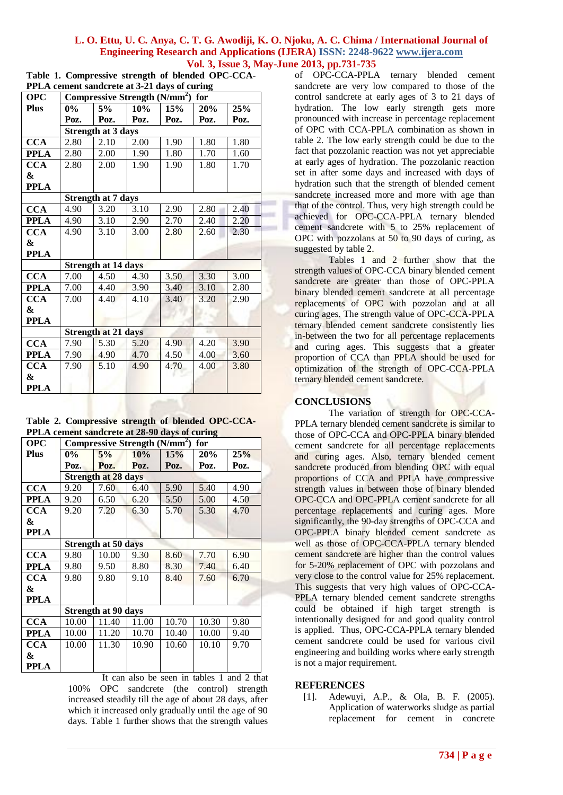|                                              | Table 1. Compressive strength of blended OPC-CCA-                            |  |  |  |  |  |  |  |  |  |
|----------------------------------------------|------------------------------------------------------------------------------|--|--|--|--|--|--|--|--|--|
| PPLA cement sandcrete at 3-21 days of curing |                                                                              |  |  |  |  |  |  |  |  |  |
| $\Omega$                                     | $C_{\text{annmonodron}}$ $\mathbb{C}_{\text{tunnel}}$ $(\mathbb{N}/m^2)$ for |  |  |  |  |  |  |  |  |  |

| <b>OPC</b>  | Compressive Strength $(N/mm^2)$<br>for |      |      |      |      |      |  |  |  |  |
|-------------|----------------------------------------|------|------|------|------|------|--|--|--|--|
| <b>Plus</b> | $0\%$                                  | 5%   | 10%  | 15%  | 20%  | 25%  |  |  |  |  |
|             | Poz.                                   | Poz. | Poz. | Poz. | Poz. | Poz. |  |  |  |  |
|             | <b>Strength at 3 days</b>              |      |      |      |      |      |  |  |  |  |
| <b>CCA</b>  | 2.80                                   | 2.10 | 2.00 | 1.90 | 1.80 | 1.80 |  |  |  |  |
| <b>PPLA</b> | 2.80                                   | 2.00 | 1.90 | 1.80 | 1.70 | 1.60 |  |  |  |  |
| <b>CCA</b>  | 2.80                                   | 2.00 | 1.90 | 1.90 | 1.80 | 1.70 |  |  |  |  |
| &           |                                        |      |      |      |      |      |  |  |  |  |
| <b>PPLA</b> |                                        |      |      |      |      |      |  |  |  |  |
|             | <b>Strength at 7 days</b>              |      |      |      |      |      |  |  |  |  |
| <b>CCA</b>  | 4.90                                   | 3.20 | 3.10 | 2.90 | 2.80 | 2.40 |  |  |  |  |
| <b>PPLA</b> | 4.90                                   | 3.10 | 2.90 | 2.70 | 2.40 | 2.20 |  |  |  |  |
| <b>CCA</b>  | 4.90                                   | 3.10 | 3.00 | 2.80 | 2.60 | 2.30 |  |  |  |  |
| &           |                                        |      |      |      |      |      |  |  |  |  |
| <b>PPLA</b> |                                        |      |      |      |      |      |  |  |  |  |
|             | <b>Strength at 14 days</b>             |      |      |      |      |      |  |  |  |  |
| <b>CCA</b>  | 7.00                                   | 4.50 | 4.30 | 3.50 | 3.30 | 3.00 |  |  |  |  |
| <b>PPLA</b> | 7.00                                   | 4.40 | 3.90 | 3.40 | 3.10 | 2.80 |  |  |  |  |
| <b>CCA</b>  | 7.00                                   | 4.40 | 4.10 | 3.40 | 3.20 | 2.90 |  |  |  |  |
| &           |                                        |      |      |      |      |      |  |  |  |  |
| <b>PPLA</b> |                                        |      |      |      |      |      |  |  |  |  |
|             | Strength at 21 days                    |      |      |      |      |      |  |  |  |  |
| <b>CCA</b>  | 7.90                                   | 5.30 | 5.20 | 4.90 | 4.20 | 3.90 |  |  |  |  |
| <b>PPLA</b> | 7.90                                   | 4.90 | 4.70 | 4.50 | 4.00 | 3.60 |  |  |  |  |
| <b>CCA</b>  | 7.90                                   | 5.10 | 4.90 | 4.70 | 4.00 | 3.80 |  |  |  |  |
| $\pmb{\&}$  |                                        |      |      |      |      |      |  |  |  |  |
| <b>PPLA</b> |                                        |      |      |      |      |      |  |  |  |  |

**Table 2. Compressive strength of blended OPC-CCA-PPLA cement sandcrete at 28-90 days of curing**

| <b>OPC</b>  | Compressive Strength (N/mm <sup>2</sup> ) for |       |       |       |       |      |  |  |  |
|-------------|-----------------------------------------------|-------|-------|-------|-------|------|--|--|--|
| <b>Plus</b> | $0\%$                                         | 5%    | 10%   | 15%   | 20%   | 25%  |  |  |  |
|             | Poz.                                          | Poz.  | Poz.  | Poz.  | Poz.  | Poz. |  |  |  |
|             | <b>Strength at 28 days</b>                    |       |       |       |       |      |  |  |  |
| <b>CCA</b>  | 9.20                                          | 7.60  | 6.40  | 5.90  | 5.40  | 4.90 |  |  |  |
| <b>PPLA</b> | 9.20                                          | 6.50  | 6.20  | 5.50  | 5.00  | 4.50 |  |  |  |
| <b>CCA</b>  | 9.20                                          | 7.20  | 6.30  | 5.70  | 5.30  | 4.70 |  |  |  |
| &           |                                               |       |       |       |       |      |  |  |  |
| <b>PPLA</b> |                                               |       |       |       |       |      |  |  |  |
|             | <b>Strength at 50 days</b>                    |       |       |       |       |      |  |  |  |
| <b>CCA</b>  | 9.80                                          | 10.00 | 9.30  | 8.60  | 7.70  | 6.90 |  |  |  |
| <b>PPLA</b> | 9.80                                          | 9.50  | 8.80  | 8.30  | 7.40  | 6.40 |  |  |  |
| <b>CCA</b>  | 9.80                                          | 9.80  | 9.10  | 8.40  | 7.60  | 6.70 |  |  |  |
| &           |                                               |       |       |       |       |      |  |  |  |
| <b>PPLA</b> |                                               |       |       |       |       |      |  |  |  |
|             | <b>Strength at 90 days</b>                    |       |       |       |       |      |  |  |  |
| <b>CCA</b>  | 10.00                                         | 11.40 | 11.00 | 10.70 | 10.30 | 9.80 |  |  |  |
| <b>PPLA</b> | 10.00                                         | 11.20 | 10.70 | 10.40 | 10.00 | 9.40 |  |  |  |
| <b>CCA</b>  | 10.00                                         | 11.30 | 10.90 | 10.60 | 10.10 | 9.70 |  |  |  |
| &           |                                               |       |       |       |       |      |  |  |  |
| PPLA        |                                               |       |       |       |       |      |  |  |  |

It can also be seen in tables 1 and 2 that 100% OPC sandcrete (the control) strength increased steadily till the age of about 28 days, after which it increased only gradually until the age of 90 days. Table 1 further shows that the strength values

of OPC-CCA-PPLA ternary blended cement sandcrete are very low compared to those of the control sandcrete at early ages of 3 to 21 days of hydration. The low early strength gets more pronounced with increase in percentage replacement of OPC with CCA-PPLA combination as shown in table 2. The low early strength could be due to the fact that pozzolanic reaction was not yet appreciable at early ages of hydration. The pozzolanic reaction set in after some days and increased with days of hydration such that the strength of blended cement sandcrete increased more and more with age than that of the control. Thus, very high strength could be achieved for OPC-CCA-PPLA ternary blended cement sandcrete with 5 to 25% replacement of OPC with pozzolans at 50 to 90 days of curing, as suggested by table 2.

Tables 1 and 2 further show that the strength values of OPC-CCA binary blended cement sandcrete are greater than those of OPC-PPLA binary blended cement sandcrete at all percentage replacements of OPC with pozzolan and at all curing ages. The strength value of OPC-CCA-PPLA ternary blended cement sandcrete consistently lies in-between the two for all percentage replacements and curing ages. This suggests that a greater proportion of CCA than PPLA should be used for optimization of the strength of OPC-CCA-PPLA ternary blended cement sandcrete.

# **CONCLUSIONS**

The variation of strength for OPC-CCA-PPLA ternary blended cement sandcrete is similar to those of OPC-CCA and OPC-PPLA binary blended cement sandcrete for all percentage replacements and curing ages. Also, ternary blended cement sandcrete produced from blending OPC with equal proportions of CCA and PPLA have compressive strength values in between those of binary blended OPC-CCA and OPC-PPLA cement sandcrete for all percentage replacements and curing ages. More significantly, the 90-day strengths of OPC-CCA and OPC-PPLA binary blended cement sandcrete as well as those of OPC-CCA-PPLA ternary blended cement sandcrete are higher than the control values for 5-20% replacement of OPC with pozzolans and very close to the control value for 25% replacement. This suggests that very high values of OPC-CCA-PPLA ternary blended cement sandcrete strengths could be obtained if high target strength is intentionally designed for and good quality control is applied. Thus, OPC-CCA-PPLA ternary blended cement sandcrete could be used for various civil engineering and building works where early strength is not a major requirement.

# **REFERENCES**

[1]. Adewuyi, A.P., & Ola, B. F. (2005). Application of waterworks sludge as partial replacement for cement in concrete